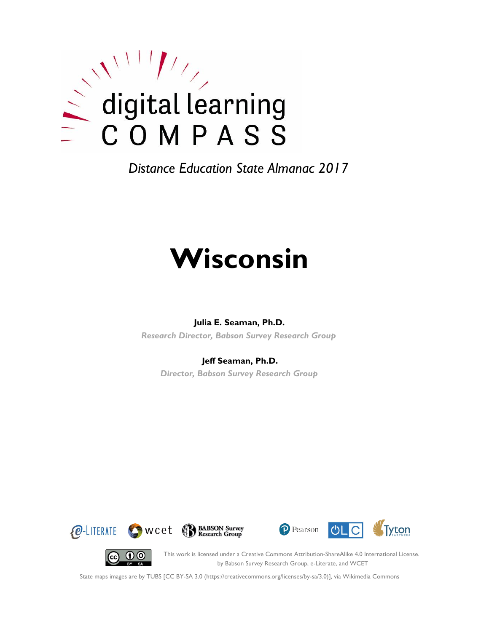

*Distance Education State Almanac 2017*

# **Wisconsin**

#### **Julia E. Seaman, Ph.D.**

*Research Director, Babson Survey Research Group*

#### **Jeff Seaman, Ph.D.**

*Director, Babson Survey Research Group*









This work is licensed under a Creative Commons Attribution-ShareAlike 4.0 International License. by Babson Survey Research Group, e-Literate, and WCET

State maps images are by TUBS [CC BY-SA 3.0 (https://creativecommons.org/licenses/by-sa/3.0)], via Wikimedia Commons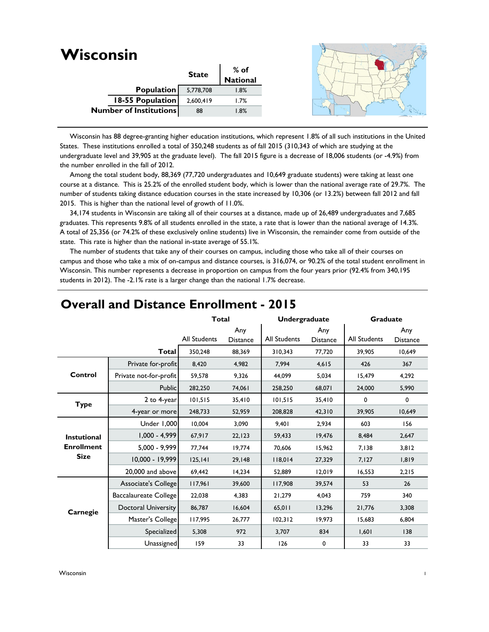| 5,778,708        | 1.8%                                                               |                  |
|------------------|--------------------------------------------------------------------|------------------|
| 2,600,419        | 1.7%                                                               |                  |
| 88               | 1.8%                                                               |                  |
| 18-55 Population | <b>State</b><br><b>Population</b><br><b>Number of Institutions</b> | % of<br>National |

 Wisconsin has 88 degree-granting higher education institutions, which represent 1.8% of all such institutions in the United States. These institutions enrolled a total of 350,248 students as of fall 2015 (310,343 of which are studying at the undergraduate level and 39,905 at the graduate level). The fall 2015 figure is a decrease of 18,006 students (or -4.9%) from the number enrolled in the fall of 2012.

 Among the total student body, 88,369 (77,720 undergraduates and 10,649 graduate students) were taking at least one course at a distance. This is 25.2% of the enrolled student body, which is lower than the national average rate of 29.7%. The number of students taking distance education courses in the state increased by 10,306 (or 13.2%) between fall 2012 and fall 2015. This is higher than the national level of growth of 11.0%.

 34,174 students in Wisconsin are taking all of their courses at a distance, made up of 26,489 undergraduates and 7,685 graduates. This represents 9.8% of all students enrolled in the state, a rate that is lower than the national average of 14.3%. A total of 25,356 (or 74.2% of these exclusively online students) live in Wisconsin, the remainder come from outside of the state. This rate is higher than the national in-state average of 55.1%.

 The number of students that take any of their courses on campus, including those who take all of their courses on campus and those who take a mix of on-campus and distance courses, is 316,074, or 90.2% of the total student enrollment in Wisconsin. This number represents a decrease in proportion on campus from the four years prior (92.4% from 340,195 students in 2012). The -2.1% rate is a larger change than the national 1.7% decrease.

|                    |                            | <b>Total</b>        |                        | <b>Undergraduate</b> |                        | Graduate     |                        |
|--------------------|----------------------------|---------------------|------------------------|----------------------|------------------------|--------------|------------------------|
|                    |                            | <b>All Students</b> | Any<br><b>Distance</b> | <b>All Students</b>  | Any<br><b>Distance</b> | All Students | Any<br><b>Distance</b> |
|                    | <b>Total</b>               | 350,248             | 88,369                 | 310,343              | 77,720                 | 39.905       | 10.649                 |
|                    | Private for-profit         | 8,420               | 4.982                  | 7.994                | 4,615                  | 426          | 367                    |
| Control            | Private not-for-profit     | 59,578              | 9,326                  | 44,099               | 5,034                  | 15,479       | 4,292                  |
|                    | <b>Public</b>              | 282,250             | 74,061                 | 258,250              | 68,071                 | 24,000       | 5,990                  |
| <b>Type</b>        | 2 to 4-year                | 101,515             | 35,410                 | 101,515              | 35,410                 | 0            | 0                      |
|                    | 4-year or more             | 248,733             | 52,959                 | 208,828              | 42,310                 | 39,905       | 10,649                 |
|                    | Under 1,000                | 10,004              | 3,090                  | 9,401                | 2,934                  | 603          | 156                    |
| <b>Instutional</b> | $1,000 - 4,999$            | 67,917              | 22, 123                | 59,433               | 19,476                 | 8,484        | 2,647                  |
| <b>Enrollment</b>  | $5,000 - 9,999$            | 77,744              | 19,774                 | 70.606               | 15,962                 | 7,138        | 3,812                  |
| <b>Size</b>        | 10,000 - 19,999            | 125, 141            | 29,148                 | 118,014              | 27,329                 | 7,127        | 1,819                  |
|                    | 20,000 and above           | 69,442              | 14,234                 | 52,889               | 12,019                 | 16,553       | 2,215                  |
|                    | Associate's College        | 117,961             | 39,600                 | 117,908              | 39,574                 | 53           | 26                     |
|                    | Baccalaureate College      | 22,038              | 4,383                  | 21,279               | 4,043                  | 759          | 340                    |
| Carnegie           | <b>Doctoral University</b> | 86,787              | 16,604                 | 65,011               | 13,296                 | 21,776       | 3,308                  |
|                    | Master's College           | 117,995             | 26,777                 | 102,312              | 19,973                 | 15,683       | 6,804                  |
|                    | Specialized                | 5,308               | 972                    | 3,707                | 834                    | 1,601        | 138                    |
|                    | Unassigned                 | 159                 | 33                     | 126                  | 0                      | 33           | 33                     |

## **Overall and Distance Enrollment - 2015**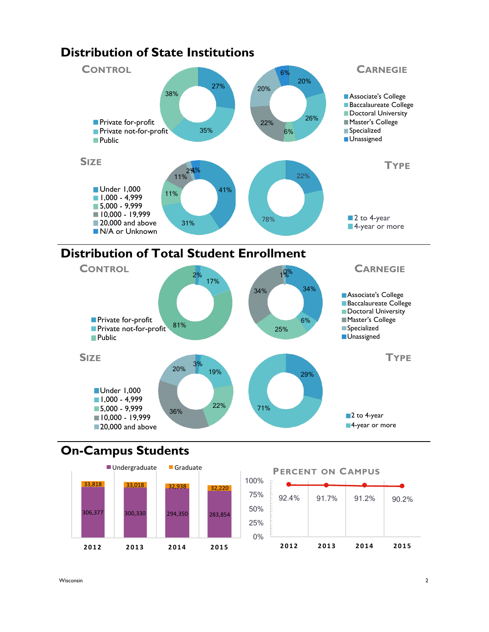



## **On-Campus Students**



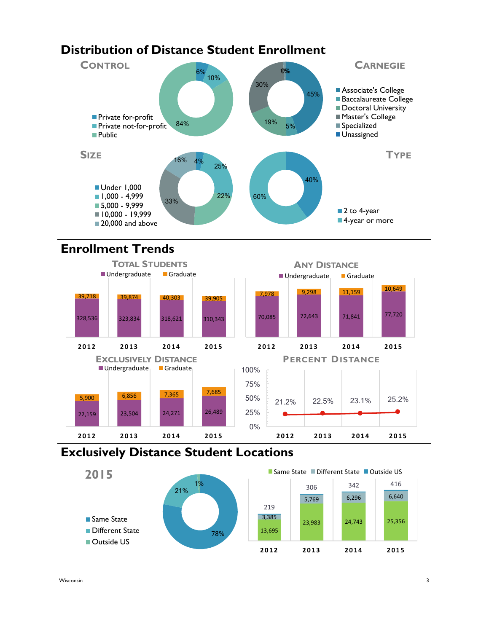## **Distribution of Distance Student Enrollment**



# **Enrollment Trends**



## **Exclusively Distance Student Locations**